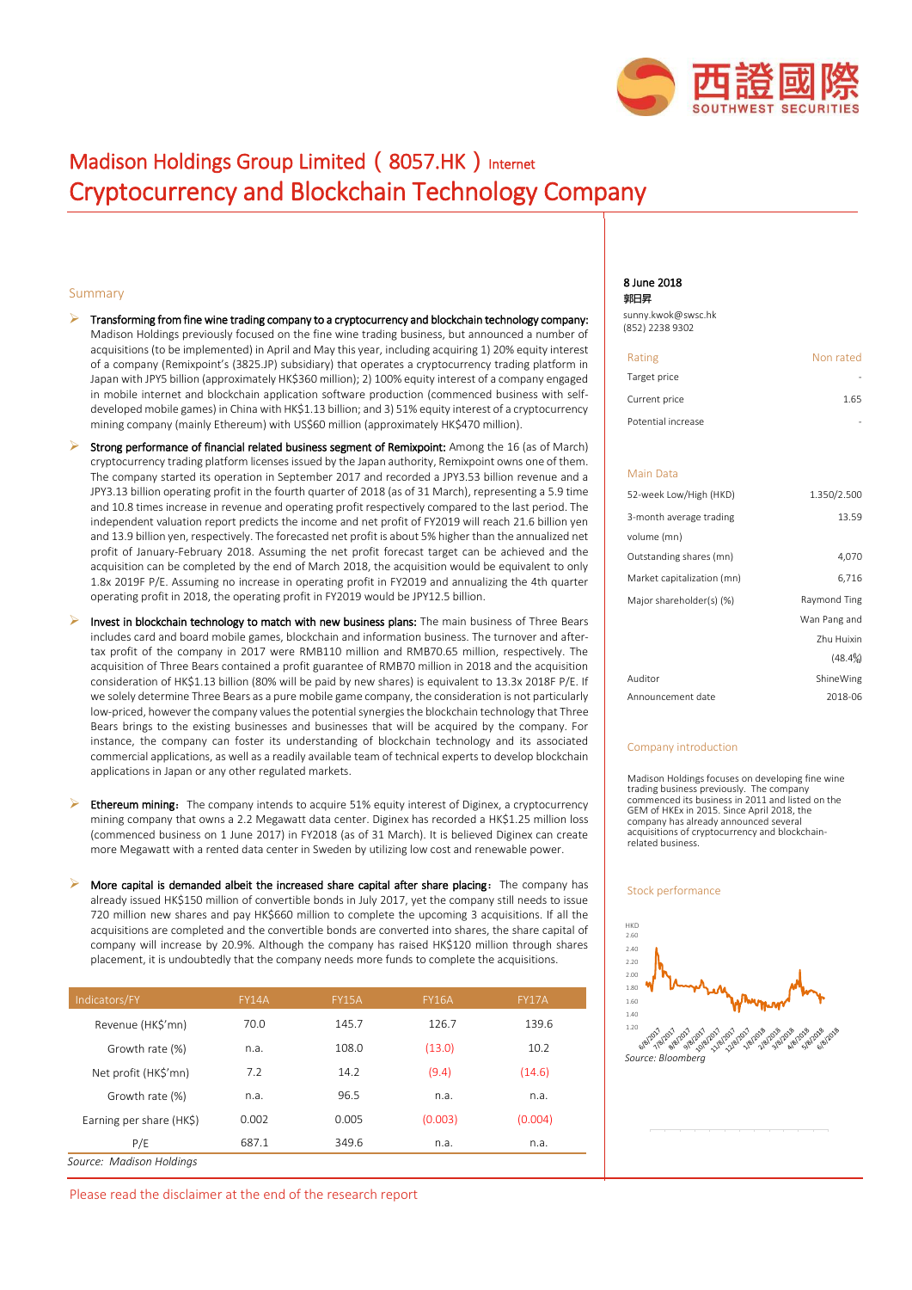

# Madison Holdings Group Limited (8057.HK) Internet Cryptocurrency and Blockchain Technology Company

## Summary

- Transforming from fine wine trading company to a cryptocurrency and blockchain technology company: Madison Holdings previously focused on the fine wine trading business, but announced a number of acquisitions (to be implemented) in April and May this year, including acquiring 1) 20% equity interest of a company (Remixpoint's (3825.JP) subsidiary) that operates a cryptocurrency trading platform in Japan with JPY5 billion (approximately HK\$360 million); 2) 100% equity interest of a company engaged in mobile internet and blockchain application software production (commenced business with selfdeveloped mobile games) in China with HK\$1.13 billion; and 3) 51% equity interest of a cryptocurrency mining company (mainly Ethereum) with US\$60 million (approximately HK\$470 million).
- Strong performance of financial related business segment of Remixpoint: Among the 16 (as of March) cryptocurrency trading platform licenses issued by the Japan authority, Remixpoint owns one of them. The company started its operation in September 2017 and recorded a JPY3.53 billion revenue and a JPY3.13 billion operating profit in the fourth quarter of 2018 (as of 31 March), representing a 5.9 time and 10.8 times increase in revenue and operating profit respectively compared to the last period. The independent valuation report predicts the income and net profit of FY2019 will reach 21.6 billion yen and 13.9 billion yen, respectively. The forecasted net profit is about 5% higher than the annualized net profit of January-February 2018. Assuming the net profit forecast target can be achieved and the acquisition can be completed by the end of March 2018, the acquisition would be equivalent to only 1.8x 2019F P/E. Assuming no increase in operating profit in FY2019 and annualizing the 4th quarter operating profit in 2018, the operating profit in FY2019 would be JPY12.5 billion.
- Invest in blockchain technology to match with new business plans: The main business of Three Bears includes card and board mobile games, blockchain and information business. The turnover and aftertax profit of the company in 2017 were RMB110 million and RMB70.65 million, respectively. The acquisition of Three Bears contained a profit guarantee of RMB70 million in 2018 and the acquisition consideration of HK\$1.13 billion (80% will be paid by new shares) is equivalent to 13.3x 2018F P/E. If we solely determine Three Bears as a pure mobile game company, the consideration is not particularly low-priced, however the company values the potential synergies the blockchain technology that Three Bears brings to the existing businesses and businesses that will be acquired by the company. For instance, the company can foster its understanding of blockchain technology and its associated commercial applications, as well as a readily available team of technical experts to develop blockchain applications in Japan or any other regulated markets.
- Ethereum mining: The company intends to acquire 51% equity interest of Diginex, a cryptocurrency mining company that owns a 2.2 Megawatt data center. Diginex has recorded a HK\$1.25 million loss (commenced business on 1 June 2017) in FY2018 (as of 31 March). It is believed Diginex can create more Megawatt with a rented data center in Sweden by utilizing low cost and renewable power.
- More capital is demanded albeit the increased share capital after share placing: The company has already issued HK\$150 million of convertible bonds in July 2017, yet the company still needs to issue 720 million new shares and pay HK\$660 million to complete the upcoming 3 acquisitions. If all the acquisitions are completed and the convertible bonds are converted into shares, the share capital of company will increase by 20.9%. Although the company has raised HK\$120 million through shares placement, it is undoubtedly that the company needs more funds to complete the acquisitions.

| Indicators/FY            | <b>FY14A</b> | <b>FY15A</b> | <b>FY16A</b> | <b>FY17A</b> |
|--------------------------|--------------|--------------|--------------|--------------|
| Revenue (HK\$'mn)        | 70.0         | 145.7        | 126.7        | 139.6        |
| Growth rate (%)          | n.a.         | 108.0        | (13.0)       | 10.2         |
| Net profit (HK\$'mn)     | 7.2          | 14.2         | (9.4)        | (14.6)       |
| Growth rate (%)          | n.a.         | 96.5         | n.a.         | n.a.         |
| Earning per share (HK\$) | 0.002        | 0.005        | (0.003)      | (0.004)      |
| P/E                      | 687.1        | 349.6        | n.a.         | n.a.         |
| Source: Madison Holdings |              |              |              |              |

Please read the disclaimer at the end of the research report

#### 8 June 2018 **郭日昇**

[sunny.kwok@swsc.hk](mailto:sunny.kwok@swsc.hk) (852) 2238 9302

| Rating             | Non rated |
|--------------------|-----------|
| Target price       |           |
| Current price      | 1.65      |
| Potential increase |           |

## Main Data

| 52-week Low/High (HKD)     | 1.350/2.500  |
|----------------------------|--------------|
| 3-month average trading    | 13.59        |
| volume (mn)                |              |
| Outstanding shares (mn)    | 4,070        |
| Market capitalization (mn) | 6,716        |
| Major shareholder(s) (%)   | Raymond Ting |
|                            | Wan Pang and |
|                            | Zhu Huixin   |
|                            | $(48.4\%)$   |
| Auditor                    | ShineWing    |
| Announcement date          | 2018-06      |

#### Company introduction

Madison Holdings focuses on developing fine wine trading business previously. The company commenced its business in 2011 and listed on the GEM of HKEx in 2015. Since April 2018, the company has already announced several acquisitions of cryptocurrency and blockchainrelated business.

#### Stock performance

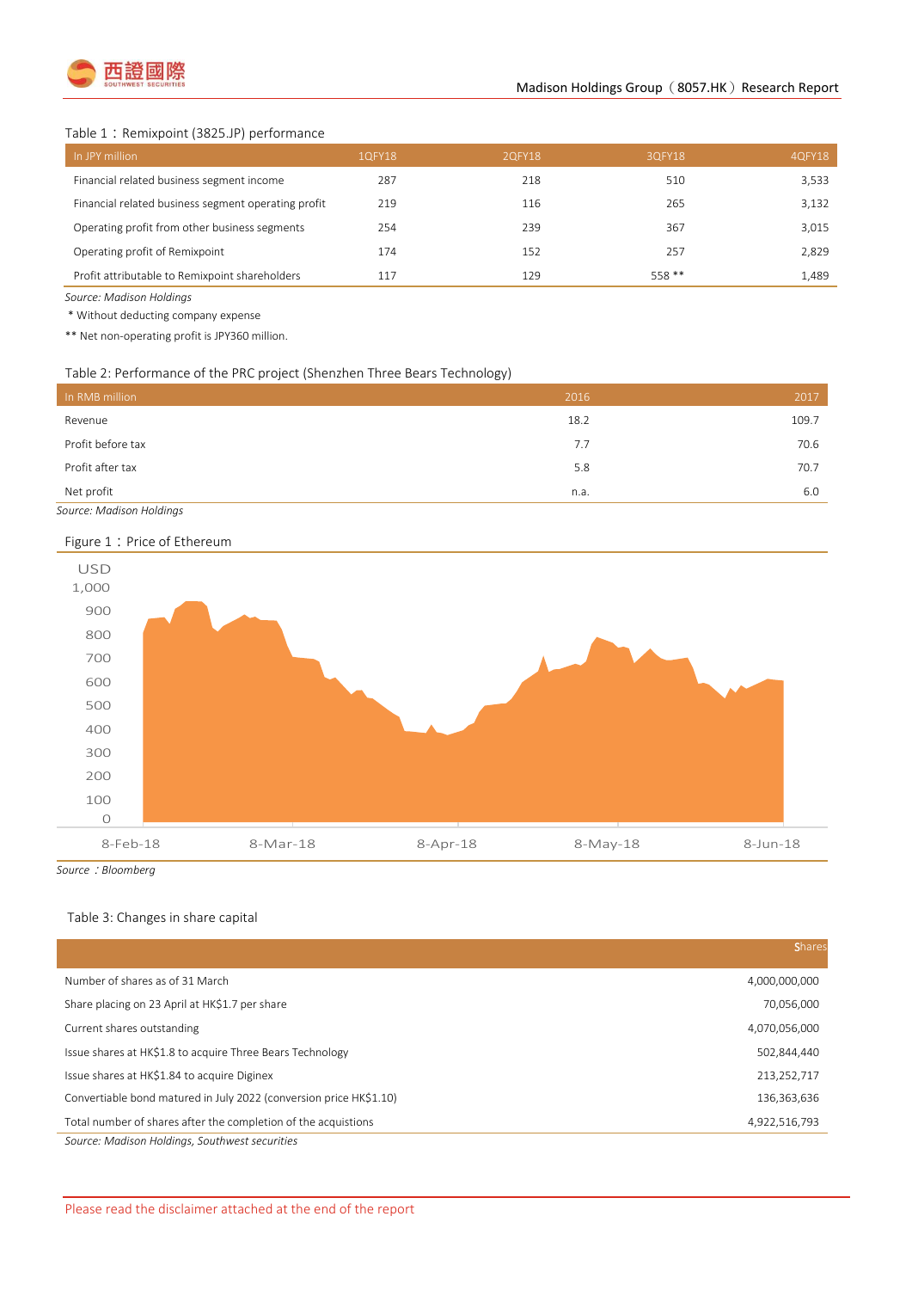

## Table 1: Remixpoint (3825.JP) performance

| In JPY million                                      | 1QFY18 | 2QFY18 | 3QFY18  | 4QFY18 |
|-----------------------------------------------------|--------|--------|---------|--------|
| Financial related business segment income           | 287    | 218    | 510     | 3,533  |
| Financial related business segment operating profit | 219    | 116    | 265     | 3.132  |
| Operating profit from other business segments       | 254    | 239    | 367     | 3,015  |
| Operating profit of Remixpoint                      | 174    | 152    | 257     | 2,829  |
| Profit attributable to Remixpoint shareholders      | 117    | 129    | $558**$ | 1.489  |

*Source: Madison Holdings*

\* Without deducting company expense

\*\* Net non-operating profit is JPY360 million.

## Table 2: Performance of the PRC project (Shenzhen Three Bears Technology)

| In RMB million    | 2016 | 2017  |
|-------------------|------|-------|
| Revenue           | 18.2 | 109.7 |
| Profit before tax | 7.7  | 70.6  |
| Profit after tax  | 5.8  | 70.7  |
| Net profit        | n.a. | 6.0   |

*Source: Madison Holdings*

## Figure 1: Price of Ethereum



*Source*:*Bloomberg*

# Table 3: Changes in share capital

|                                                                    | <b>Shares</b> |
|--------------------------------------------------------------------|---------------|
| Number of shares as of 31 March                                    | 4,000,000,000 |
| Share placing on 23 April at HK\$1.7 per share                     | 70,056,000    |
| Current shares outstanding                                         | 4,070,056,000 |
| Issue shares at HK\$1.8 to acquire Three Bears Technology          | 502,844,440   |
| Issue shares at HK\$1.84 to acquire Diginex                        | 213,252,717   |
| Convertiable bond matured in July 2022 (conversion price HK\$1.10) | 136,363,636   |
| Total number of shares after the completion of the acquistions     | 4,922,516,793 |
| Source: Madison Holdings, Southwest securities                     |               |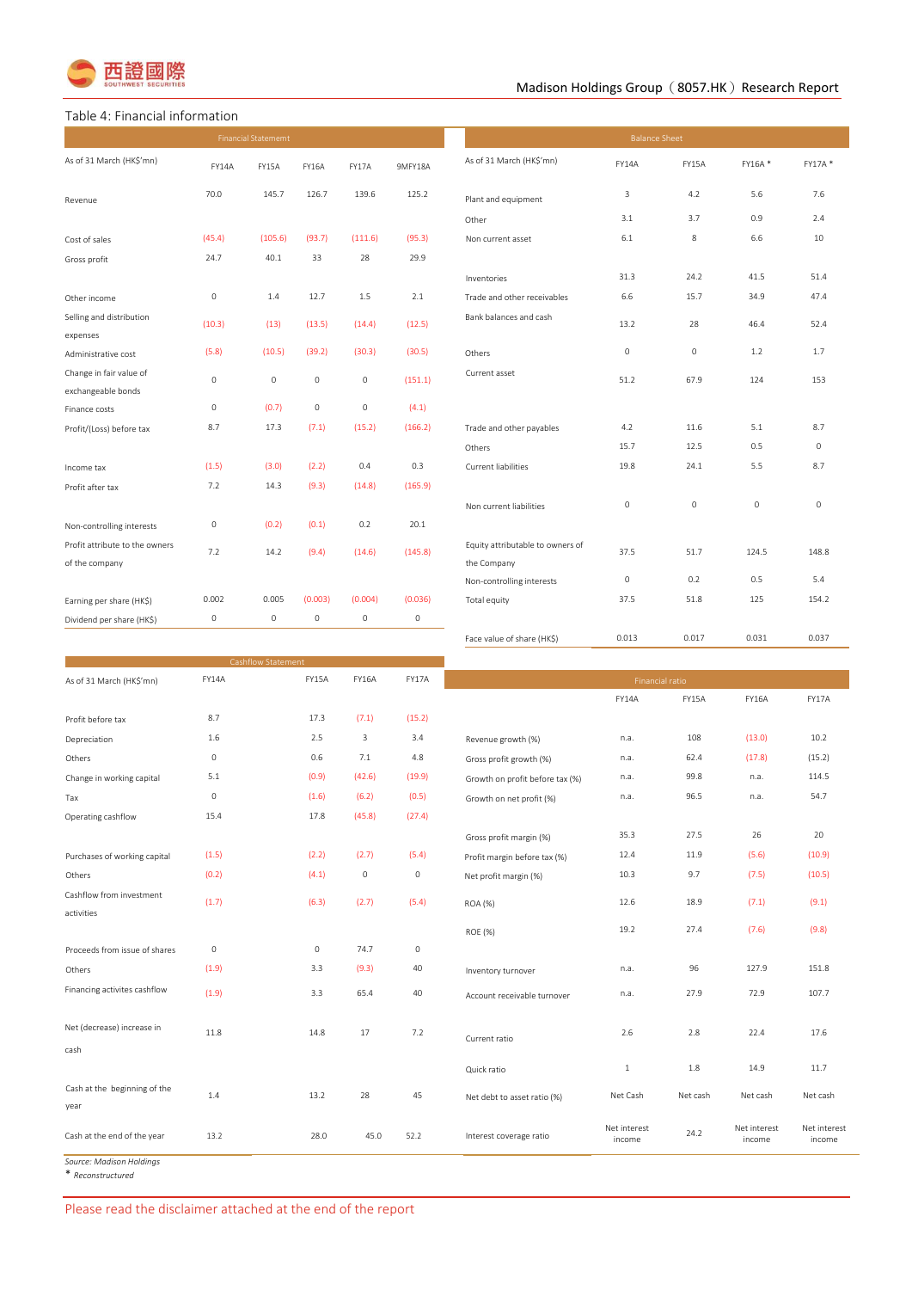

# Madison Holdings Group  $(8057.HK)$  Research Report

## Table 4: Financial information

| <b>Financial Statememt</b>                       |                     |                           |              |              | <b>Balance Sheet</b> |                                                 |             |                        |         |             |
|--------------------------------------------------|---------------------|---------------------------|--------------|--------------|----------------------|-------------------------------------------------|-------------|------------------------|---------|-------------|
| As of 31 March (HK\$'mn)                         | <b>FY14A</b>        | FY15A                     | <b>FY16A</b> | FY17A        | 9MFY18A              | As of 31 March (HK\$'mn)                        | FY14A       | FY15A                  | FY16A*  | FY17A*      |
| Revenue                                          | 70.0                | 145.7                     | 126.7        | 139.6        | 125.2                | Plant and equipment                             | 3           | 4.2                    | 5.6     | 7.6         |
|                                                  |                     |                           |              |              |                      | Other                                           | 3.1         | 3.7                    | 0.9     | 2.4         |
| Cost of sales                                    | (45.4)              | (105.6)                   | (93.7)       | (111.6)      | (95.3)               | Non current asset                               | 6.1         | 8                      | 6.6     | 10          |
| Gross profit                                     | 24.7                | 40.1                      | 33           | 28           | 29.9                 |                                                 |             |                        |         |             |
|                                                  |                     |                           |              |              |                      | Inventories                                     | 31.3        | 24.2                   | 41.5    | 51.4        |
| Other income                                     | $\circ$             | 1.4                       | 12.7         | 1.5          | 2.1                  | Trade and other receivables                     | 6.6         | 15.7                   | 34.9    | 47.4        |
| Selling and distribution<br>expenses             | (10.3)              | (13)                      | (13.5)       | (14.4)       | (12.5)               | Bank balances and cash                          | 13.2        | 28                     | 46.4    | 52.4        |
| Administrative cost                              | (5.8)               | (10.5)                    | (39.2)       | (30.3)       | (30.5)               | Others                                          | $\mathbb O$ | 0                      | 1.2     | 1.7         |
| Change in fair value of<br>exchangeable bonds    | $\mathbf 0$         | $\circ$                   | $\circ$      | $\mathbb O$  | (151.1)              | Current asset                                   | 51.2        | 67.9                   | 124     | 153         |
| Finance costs                                    | $\mathsf{O}\xspace$ | (0.7)                     | $\circ$      | $\mathbb O$  | (4.1)                |                                                 |             |                        |         |             |
| Profit/(Loss) before tax                         | 8.7                 | 17.3                      | (7.1)        | (15.2)       | (166.2)              | Trade and other payables                        | 4.2         | 11.6                   | 5.1     | 8.7         |
|                                                  |                     |                           |              |              |                      | Others                                          | 15.7        | 12.5                   | 0.5     | $\mathbf 0$ |
| Income tax                                       | (1.5)               | (3.0)                     | (2.2)        | 0.4          | 0.3                  | <b>Current liabilities</b>                      | 19.8        | 24.1                   | 5.5     | 8.7         |
| Profit after tax                                 | 7.2                 | 14.3                      | (9.3)        | (14.8)       | (165.9)              |                                                 |             |                        |         |             |
|                                                  |                     |                           |              |              |                      | Non current liabilities                         | $\mathbb O$ | $\mathsf{O}\xspace$    | $\circ$ | $\circ$     |
| Non-controlling interests                        | $\mathsf O$         | (0.2)                     | (0.1)        | 0.2          | 20.1                 |                                                 |             |                        |         |             |
| Profit attribute to the owners<br>of the company | 7.2                 | 14.2                      | (9.4)        | (14.6)       | (145.8)              | Equity attributable to owners of<br>the Company | 37.5        | 51.7                   | 124.5   | 148.8       |
|                                                  |                     |                           |              |              |                      | Non-controlling interests                       | $\mathbb O$ | 0.2                    | 0.5     | 5.4         |
| Earning per share (HK\$)                         | 0.002               | 0.005                     | (0.003)      | (0.004)      | (0.036)              | Total equity                                    | 37.5        | 51.8                   | 125     | 154.2       |
| Dividend per share (HK\$)                        | 0                   | $\mathsf O$               | $\circ$      | $\mathbb O$  | $\mathbb O$          |                                                 |             |                        |         |             |
|                                                  |                     |                           |              |              |                      | Face value of share (HK\$)                      | 0.013       | 0.017                  | 0.031   | 0.037       |
|                                                  |                     | <b>Cashflow Statement</b> |              |              |                      |                                                 |             |                        |         |             |
| As of 31 March (HKS'mn)                          | FY14A               |                           | FY15A        | <b>FY16A</b> | FY17A                |                                                 |             | <b>Financial ratio</b> |         |             |

| (15.2)<br>Revenue growth (%)<br>Gross profit growth (%)<br>(19.9)<br>Growth on profit before tax (%)<br>Growth on net profit (%) | FY14A<br>n.a.<br>n.a.<br>n.a.<br>n.a.                          | FY15A<br>108<br>62.4<br>99.8<br>96.5 | <b>FY16A</b><br>(13.0)<br>(17.8)<br>n.a. | FY17A<br>10.2<br>(15.2)<br>114.5 |
|----------------------------------------------------------------------------------------------------------------------------------|----------------------------------------------------------------|--------------------------------------|------------------------------------------|----------------------------------|
|                                                                                                                                  |                                                                |                                      |                                          |                                  |
|                                                                                                                                  |                                                                |                                      |                                          |                                  |
|                                                                                                                                  |                                                                |                                      |                                          |                                  |
|                                                                                                                                  |                                                                |                                      |                                          |                                  |
|                                                                                                                                  |                                                                |                                      |                                          |                                  |
|                                                                                                                                  |                                                                |                                      | n.a.                                     | 54.7                             |
|                                                                                                                                  |                                                                |                                      |                                          |                                  |
| Gross profit margin (%)                                                                                                          | 35.3                                                           | 27.5                                 | 26                                       | 20                               |
| Profit margin before tax (%)                                                                                                     | 12.4                                                           | 11.9                                 | (5.6)                                    | (10.9)                           |
| Net profit margin (%)                                                                                                            | 10.3                                                           | 9.7                                  | (7.5)                                    | (10.5)                           |
|                                                                                                                                  |                                                                |                                      |                                          | (9.1)                            |
|                                                                                                                                  |                                                                |                                      |                                          |                                  |
| <b>ROE (%)</b>                                                                                                                   | 19.2                                                           | 27.4                                 |                                          | (9.8)                            |
|                                                                                                                                  |                                                                |                                      |                                          |                                  |
| Inventory turnover                                                                                                               | n.a.                                                           | 96                                   | 127.9                                    | 151.8                            |
| Account receivable turnover                                                                                                      | n.a.                                                           | 27.9                                 | 72.9                                     | 107.7                            |
|                                                                                                                                  |                                                                |                                      |                                          |                                  |
|                                                                                                                                  | 2.6                                                            | 2.8                                  | 22.4                                     | 17.6                             |
|                                                                                                                                  |                                                                |                                      |                                          |                                  |
| Quick ratio                                                                                                                      | 1                                                              | 1.8                                  | 14.9                                     | 11.7                             |
|                                                                                                                                  |                                                                |                                      |                                          | Net cash                         |
|                                                                                                                                  |                                                                |                                      |                                          |                                  |
| Interest coverage ratio                                                                                                          | Net interest<br>income                                         | 24.2                                 | Net interest<br>income                   | Net interest<br>income           |
|                                                                                                                                  | <b>ROA (%)</b><br>Current ratio<br>Net debt to asset ratio (%) | (27.4)<br>12.6<br>Net Cash           | 18.9<br>Net cash                         | (7.1)<br>(7.6)<br>Net cash       |

*Source: Madison Holdings* \* *Reconstructured*

Please read the disclaimer attached at the end of the report